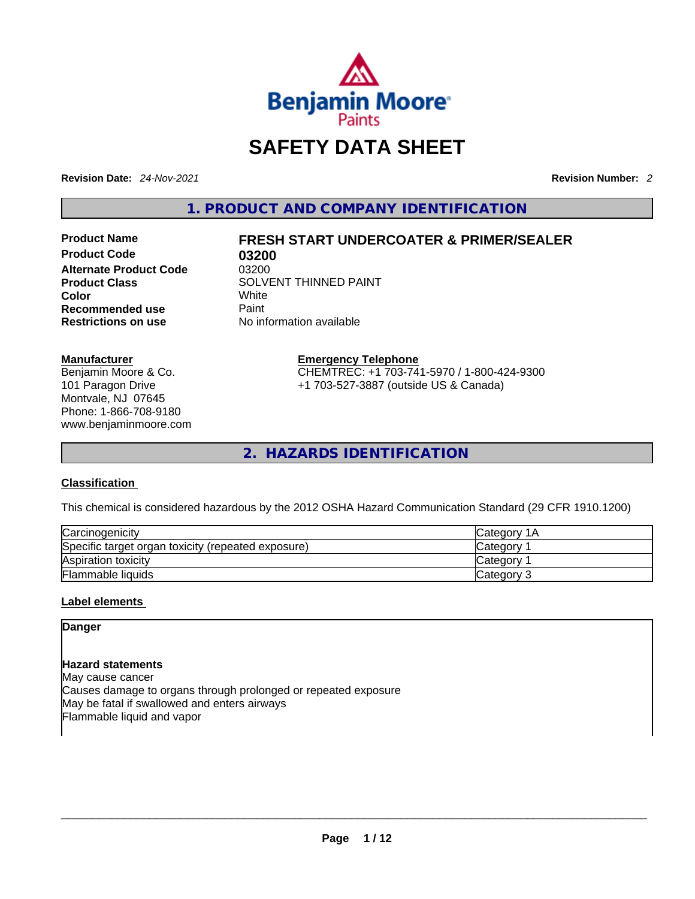

# **SAFETY DATA SHEET**

**Revision Date:** *24-Nov-2021* **Revision Number:** *2*

**1. PRODUCT AND COMPANY IDENTIFICATION** 

**Product Code 63200<br>
<b>Alternate Product Code** 63200 **Alternate Product Code**<br>**Product Class Color** White **Recommended use** Paint **Restrictions on use** No information available

## **Product Name FRESH START UNDERCOATER & PRIMER/SEALER**

**Product Class** SOLVENT THINNED PAINT<br>
Color

#### **Manufacturer**

Benjamin Moore & Co. 101 Paragon Drive Montvale, NJ 07645 Phone: 1-866-708-9180 www.benjaminmoore.com **Emergency Telephone** CHEMTREC: +1 703-741-5970 / 1-800-424-9300 +1 703-527-3887 (outside US & Canada)

**2. HAZARDS IDENTIFICATION** 

### **Classification**

This chemical is considered hazardous by the 2012 OSHA Hazard Communication Standard (29 CFR 1910.1200)

| Carcinogenicity                                    | Category<br>1A |
|----------------------------------------------------|----------------|
| Specific target organ toxicity (repeated exposure) | Category       |
| Aspiration toxicity                                | Category       |
| Flammable liquids                                  | Category 3     |

#### **Label elements**

## **Danger**

#### **Hazard statements**

May cause cancer Causes damage to organs through prolonged or repeated exposure May be fatal if swallowed and enters airways Flammable liquid and vapor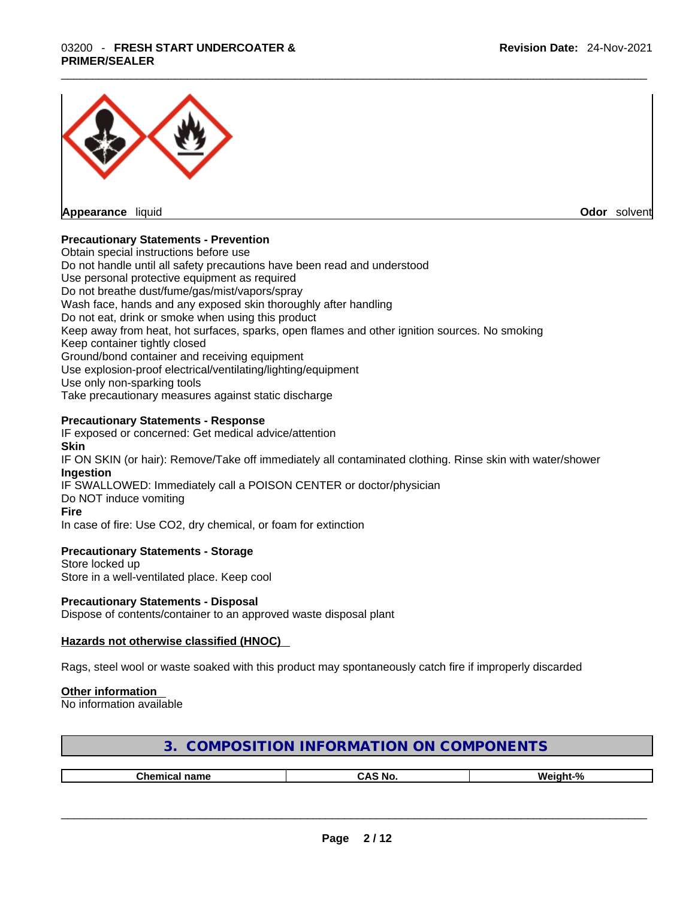# \_\_\_\_\_\_\_\_\_\_\_\_\_\_\_\_\_\_\_\_\_\_\_\_\_\_\_\_\_\_\_\_\_\_\_\_\_\_\_\_\_\_\_\_\_\_\_\_\_\_\_\_\_\_\_\_\_\_\_\_\_\_\_\_\_\_\_\_\_\_\_\_\_\_\_\_\_\_\_\_\_\_\_\_\_\_\_\_\_\_\_\_\_ 03200 - **FRESH START UNDERCOATER & PRIMER/SEALER**



**Odor** solvent

#### **Precautionary Statements - Prevention**

Obtain special instructions before use Do not handle until all safety precautions have been read and understood Use personal protective equipment as required Do not breathe dust/fume/gas/mist/vapors/spray Wash face, hands and any exposed skin thoroughly after handling Do not eat, drink or smoke when using this product Keep away from heat, hot surfaces, sparks, open flames and other ignition sources. No smoking Keep container tightly closed Ground/bond container and receiving equipment Use explosion-proof electrical/ventilating/lighting/equipment Use only non-sparking tools Take precautionary measures against static discharge

#### **Precautionary Statements - Response**

IF exposed or concerned: Get medical advice/attention **Skin** IF ON SKIN (or hair): Remove/Take off immediately all contaminated clothing. Rinse skin with water/shower **Ingestion** IF SWALLOWED: Immediately call a POISON CENTER or doctor/physician Do NOT induce vomiting **Fire** In case of fire: Use CO2, dry chemical, or foam for extinction

#### **Precautionary Statements - Storage**

Store locked up Store in a well-ventilated place. Keep cool

#### **Precautionary Statements - Disposal**

Dispose of contents/container to an approved waste disposal plant

#### **Hazards not otherwise classified (HNOC)**

Rags, steel wool or waste soaked with this product may spontaneously catch fire if improperly discarded

#### **Other information**

No information available

| 3. COMPOSITION INFORMATION ON COMPONENTS |  |
|------------------------------------------|--|
|------------------------------------------|--|

| Chemical name | . Nc<br>. | - 07<br><b>ML</b><br>.<br>-- 70 |
|---------------|-----------|---------------------------------|
|               |           |                                 |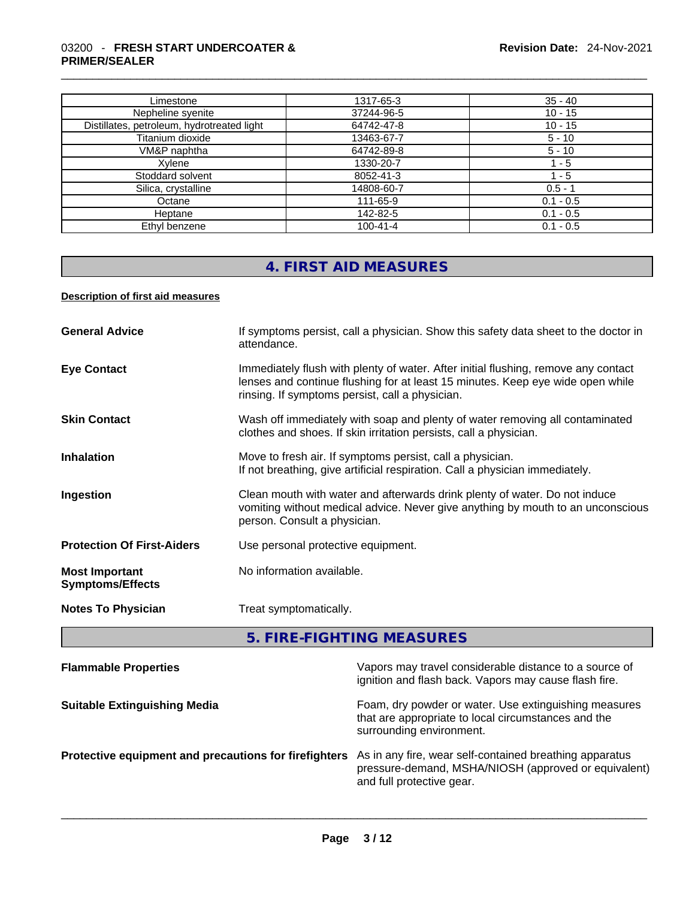#### \_\_\_\_\_\_\_\_\_\_\_\_\_\_\_\_\_\_\_\_\_\_\_\_\_\_\_\_\_\_\_\_\_\_\_\_\_\_\_\_\_\_\_\_\_\_\_\_\_\_\_\_\_\_\_\_\_\_\_\_\_\_\_\_\_\_\_\_\_\_\_\_\_\_\_\_\_\_\_\_\_\_\_\_\_\_\_\_\_\_\_\_\_ 03200 - **FRESH START UNDERCOATER & PRIMER/SEALER**

| Limestone                                  | 1317-65-3      | $35 - 40$   |
|--------------------------------------------|----------------|-------------|
| Nepheline syenite                          | 37244-96-5     | $10 - 15$   |
| Distillates, petroleum, hydrotreated light | 64742-47-8     | $10 - 15$   |
| Titanium dioxide                           | 13463-67-7     | $5 - 10$    |
| VM&P naphtha                               | 64742-89-8     | $5 - 10$    |
| Xvlene                                     | 1330-20-7      | $1 - 5$     |
| Stoddard solvent                           | 8052-41-3      | $-5$        |
| Silica, crystalline                        | 14808-60-7     | $0.5 - 1$   |
| Octane                                     | 111-65-9       | $0.1 - 0.5$ |
| Heptane                                    | 142-82-5       | $0.1 - 0.5$ |
| Ethyl benzene                              | $100 - 41 - 4$ | $0.1 - 0.5$ |

# **4. FIRST AID MEASURES**

#### **Description of first aid measures**

| <b>General Advice</b>                            | If symptoms persist, call a physician. Show this safety data sheet to the doctor in<br>attendance.                                                                                                                      |
|--------------------------------------------------|-------------------------------------------------------------------------------------------------------------------------------------------------------------------------------------------------------------------------|
| <b>Eye Contact</b>                               | Immediately flush with plenty of water. After initial flushing, remove any contact<br>lenses and continue flushing for at least 15 minutes. Keep eye wide open while<br>rinsing. If symptoms persist, call a physician. |
| <b>Skin Contact</b>                              | Wash off immediately with soap and plenty of water removing all contaminated<br>clothes and shoes. If skin irritation persists, call a physician.                                                                       |
| <b>Inhalation</b>                                | Move to fresh air. If symptoms persist, call a physician.<br>If not breathing, give artificial respiration. Call a physician immediately.                                                                               |
| Ingestion                                        | Clean mouth with water and afterwards drink plenty of water. Do not induce<br>vomiting without medical advice. Never give anything by mouth to an unconscious<br>person. Consult a physician.                           |
| <b>Protection Of First-Aiders</b>                | Use personal protective equipment.                                                                                                                                                                                      |
| <b>Most Important</b><br><b>Symptoms/Effects</b> | No information available.                                                                                                                                                                                               |
| <b>Notes To Physician</b>                        | Treat symptomatically.                                                                                                                                                                                                  |
|                                                  |                                                                                                                                                                                                                         |

**5. FIRE-FIGHTING MEASURES** 

| Vapors may travel considerable distance to a source of<br>ignition and flash back. Vapors may cause flash fire.                              |
|----------------------------------------------------------------------------------------------------------------------------------------------|
| Foam, dry powder or water. Use extinguishing measures<br>that are appropriate to local circumstances and the<br>surrounding environment.     |
| As in any fire, wear self-contained breathing apparatus<br>pressure-demand, MSHA/NIOSH (approved or equivalent)<br>and full protective gear. |
|                                                                                                                                              |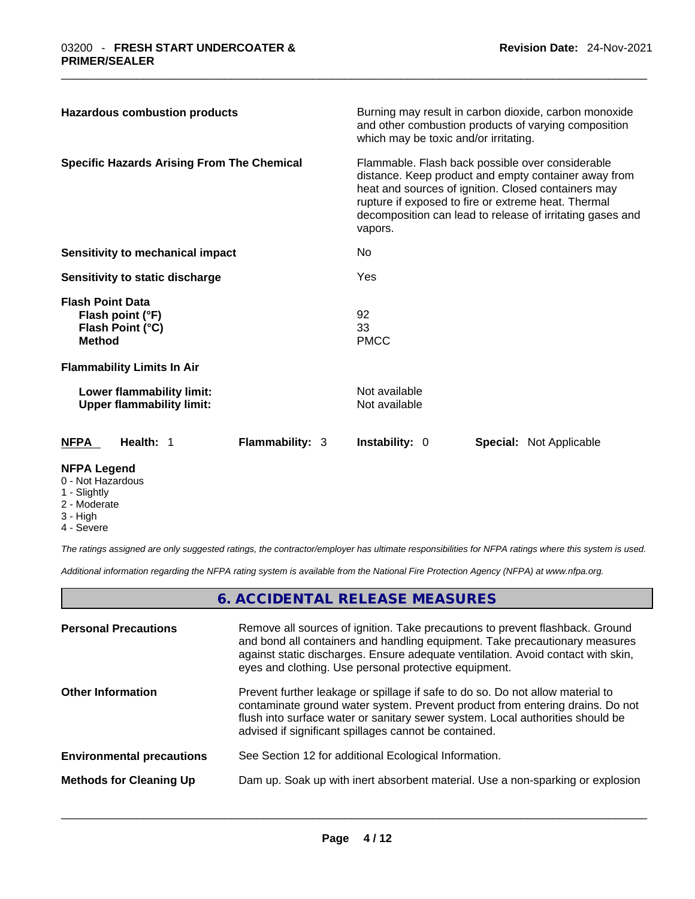| <b>Hazardous combustion products</b>                                             | Burning may result in carbon dioxide, carbon monoxide<br>and other combustion products of varying composition<br>which may be toxic and/or irritating.                                                                                                                                         |  |  |
|----------------------------------------------------------------------------------|------------------------------------------------------------------------------------------------------------------------------------------------------------------------------------------------------------------------------------------------------------------------------------------------|--|--|
| <b>Specific Hazards Arising From The Chemical</b>                                | Flammable. Flash back possible over considerable<br>distance. Keep product and empty container away from<br>heat and sources of ignition. Closed containers may<br>rupture if exposed to fire or extreme heat. Thermal<br>decomposition can lead to release of irritating gases and<br>vapors. |  |  |
| Sensitivity to mechanical impact                                                 | No.                                                                                                                                                                                                                                                                                            |  |  |
| Sensitivity to static discharge                                                  | <b>Yes</b>                                                                                                                                                                                                                                                                                     |  |  |
| <b>Flash Point Data</b><br>Flash point (°F)<br>Flash Point (°C)<br><b>Method</b> | 92<br>33<br><b>PMCC</b>                                                                                                                                                                                                                                                                        |  |  |
| <b>Flammability Limits In Air</b>                                                |                                                                                                                                                                                                                                                                                                |  |  |
| Lower flammability limit:<br><b>Upper flammability limit:</b>                    | Not available<br>Not available                                                                                                                                                                                                                                                                 |  |  |
| Health: 1<br><b>Flammability: 3</b><br><b>NFPA</b>                               | <b>Instability: 0</b><br><b>Special: Not Applicable</b>                                                                                                                                                                                                                                        |  |  |
| <b>NFPA Legend</b>                                                               |                                                                                                                                                                                                                                                                                                |  |  |

- 0 Not Hazardous
- 1 Slightly
- 2 Moderate
- 3 High
- 4 Severe

*The ratings assigned are only suggested ratings, the contractor/employer has ultimate responsibilities for NFPA ratings where this system is used.* 

*Additional information regarding the NFPA rating system is available from the National Fire Protection Agency (NFPA) at www.nfpa.org.* 

## **6. ACCIDENTAL RELEASE MEASURES**

| <b>Personal Precautions</b>      | Remove all sources of ignition. Take precautions to prevent flashback. Ground<br>and bond all containers and handling equipment. Take precautionary measures<br>against static discharges. Ensure adequate ventilation. Avoid contact with skin,<br>eyes and clothing. Use personal protective equipment.  |
|----------------------------------|------------------------------------------------------------------------------------------------------------------------------------------------------------------------------------------------------------------------------------------------------------------------------------------------------------|
| <b>Other Information</b>         | Prevent further leakage or spillage if safe to do so. Do not allow material to<br>contaminate ground water system. Prevent product from entering drains. Do not<br>flush into surface water or sanitary sewer system. Local authorities should be<br>advised if significant spillages cannot be contained. |
| <b>Environmental precautions</b> | See Section 12 for additional Ecological Information.                                                                                                                                                                                                                                                      |
| <b>Methods for Cleaning Up</b>   | Dam up. Soak up with inert absorbent material. Use a non-sparking or explosion                                                                                                                                                                                                                             |
|                                  |                                                                                                                                                                                                                                                                                                            |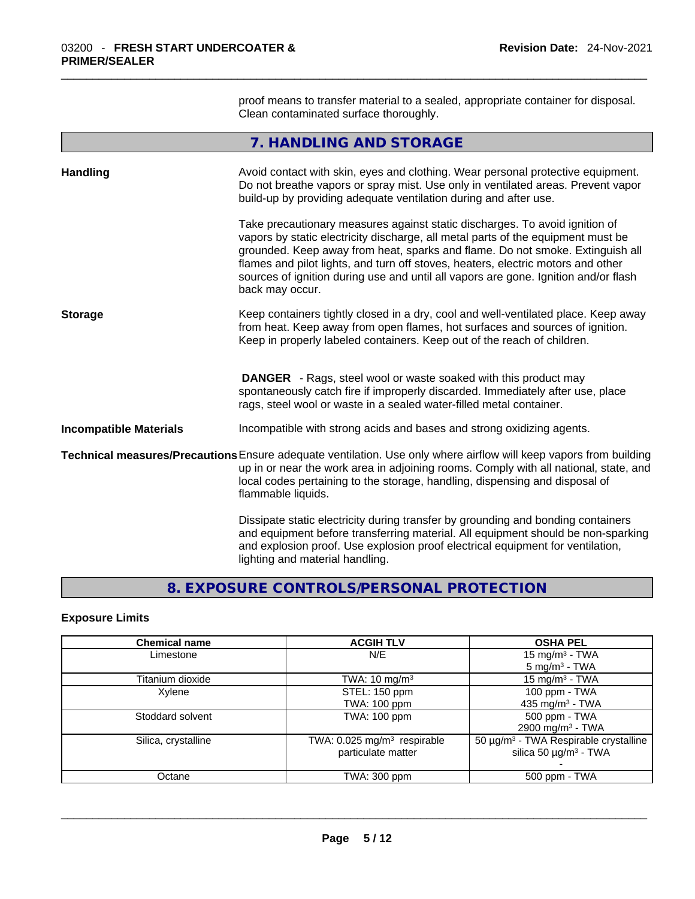proof means to transfer material to a sealed, appropriate container for disposal. Clean contaminated surface thoroughly.

## **7. HANDLING AND STORAGE**

| <b>Handling</b>               | Avoid contact with skin, eyes and clothing. Wear personal protective equipment.<br>Do not breathe vapors or spray mist. Use only in ventilated areas. Prevent vapor<br>build-up by providing adequate ventilation during and after use.                                                                                                                                                                                                        |  |  |
|-------------------------------|------------------------------------------------------------------------------------------------------------------------------------------------------------------------------------------------------------------------------------------------------------------------------------------------------------------------------------------------------------------------------------------------------------------------------------------------|--|--|
|                               | Take precautionary measures against static discharges. To avoid ignition of<br>vapors by static electricity discharge, all metal parts of the equipment must be<br>grounded. Keep away from heat, sparks and flame. Do not smoke. Extinguish all<br>flames and pilot lights, and turn off stoves, heaters, electric motors and other<br>sources of ignition during use and until all vapors are gone. Ignition and/or flash<br>back may occur. |  |  |
| <b>Storage</b>                | Keep containers tightly closed in a dry, cool and well-ventilated place. Keep away<br>from heat. Keep away from open flames, hot surfaces and sources of ignition.<br>Keep in properly labeled containers. Keep out of the reach of children.                                                                                                                                                                                                  |  |  |
|                               | <b>DANGER</b> - Rags, steel wool or waste soaked with this product may<br>spontaneously catch fire if improperly discarded. Immediately after use, place<br>rags, steel wool or waste in a sealed water-filled metal container.                                                                                                                                                                                                                |  |  |
| <b>Incompatible Materials</b> | Incompatible with strong acids and bases and strong oxidizing agents.                                                                                                                                                                                                                                                                                                                                                                          |  |  |
|                               | Technical measures/Precautions Ensure adequate ventilation. Use only where airflow will keep vapors from building<br>up in or near the work area in adjoining rooms. Comply with all national, state, and<br>local codes pertaining to the storage, handling, dispensing and disposal of<br>flammable liquids.                                                                                                                                 |  |  |
|                               | Dissipate static electricity during transfer by grounding and bonding containers<br>and equipment before transferring material. All equipment should be non-sparking<br>and explosion proof. Use explosion proof electrical equipment for ventilation,<br>lighting and material handling.                                                                                                                                                      |  |  |

## **8. EXPOSURE CONTROLS/PERSONAL PROTECTION**

### **Exposure Limits**

| <b>Chemical name</b> | <b>ACGIH TLV</b>                        | <b>OSHA PEL</b>                                   |
|----------------------|-----------------------------------------|---------------------------------------------------|
| Limestone            | N/E                                     | 15 mg/m $3$ - TWA                                 |
|                      |                                         | $5 \text{ mg/m}^3$ - TWA                          |
| Titanium dioxide     | TWA: $10 \text{ mg/m}^3$                | 15 mg/m $3$ - TWA                                 |
| Xylene               | STEL: 150 ppm                           | 100 ppm - $TWA$                                   |
|                      | <b>TWA: 100 ppm</b>                     | 435 mg/m <sup>3</sup> - TWA                       |
| Stoddard solvent     | <b>TWA: 100 ppm</b>                     | 500 ppm - TWA                                     |
|                      |                                         | 2900 mg/m <sup>3</sup> - TWA                      |
| Silica, crystalline  | TWA: 0.025 mg/m <sup>3</sup> respirable | 50 µg/m <sup>3</sup> - TWA Respirable crystalline |
|                      | particulate matter                      | silica 50 $\mu$ g/m <sup>3</sup> - TWA            |
|                      |                                         |                                                   |
| Octane               | TWA: 300 ppm                            | 500 ppm - TWA                                     |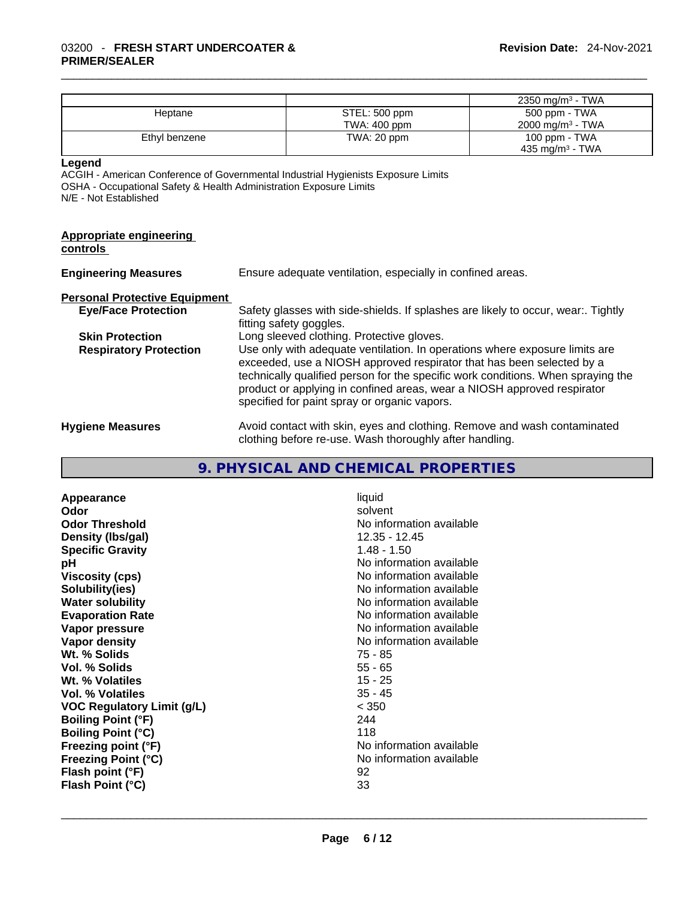|                                                                                                                                                                                            |                                                                                                              |                                              | 2350 mg/m <sup>3</sup> - TWA                                                                                                                                                                                                                                                                                        |
|--------------------------------------------------------------------------------------------------------------------------------------------------------------------------------------------|--------------------------------------------------------------------------------------------------------------|----------------------------------------------|---------------------------------------------------------------------------------------------------------------------------------------------------------------------------------------------------------------------------------------------------------------------------------------------------------------------|
| Heptane                                                                                                                                                                                    |                                                                                                              | STEL: 500 ppm                                | 500 ppm - TWA                                                                                                                                                                                                                                                                                                       |
|                                                                                                                                                                                            |                                                                                                              | TWA: 400 ppm                                 | 2000 mg/m <sup>3</sup> - TWA                                                                                                                                                                                                                                                                                        |
| Ethyl benzene                                                                                                                                                                              |                                                                                                              | TWA: 20 ppm                                  | 100 ppm - TWA                                                                                                                                                                                                                                                                                                       |
|                                                                                                                                                                                            |                                                                                                              |                                              | 435 mg/m <sup>3</sup> - TWA                                                                                                                                                                                                                                                                                         |
| Legend<br>ACGIH - American Conference of Governmental Industrial Hygienists Exposure Limits<br>OSHA - Occupational Safety & Health Administration Exposure Limits<br>N/E - Not Established |                                                                                                              |                                              |                                                                                                                                                                                                                                                                                                                     |
| <b>Appropriate engineering</b><br>controls                                                                                                                                                 |                                                                                                              |                                              |                                                                                                                                                                                                                                                                                                                     |
| <b>Engineering Measures</b>                                                                                                                                                                | Ensure adequate ventilation, especially in confined areas.                                                   |                                              |                                                                                                                                                                                                                                                                                                                     |
| <b>Personal Protective Equipment</b>                                                                                                                                                       |                                                                                                              |                                              |                                                                                                                                                                                                                                                                                                                     |
| <b>Eye/Face Protection</b>                                                                                                                                                                 | Safety glasses with side-shields. If splashes are likely to occur, wear:. Tightly<br>fitting safety goggles. |                                              |                                                                                                                                                                                                                                                                                                                     |
| <b>Skin Protection</b>                                                                                                                                                                     | Long sleeved clothing. Protective gloves.                                                                    |                                              |                                                                                                                                                                                                                                                                                                                     |
| <b>Respiratory Protection</b>                                                                                                                                                              |                                                                                                              | specified for paint spray or organic vapors. | Use only with adequate ventilation. In operations where exposure limits are<br>exceeded, use a NIOSH approved respirator that has been selected by a<br>technically qualified person for the specific work conditions. When spraying the<br>product or applying in confined areas, wear a NIOSH approved respirator |
| Uusiana Maaausaa                                                                                                                                                                           |                                                                                                              |                                              | Augid contact with plus avec and elething. Demove and work contaminated                                                                                                                                                                                                                                             |

**Hygiene Measures** Avoid contact with skin, eyes and clothing. Remove and wash contaminated clothing before re-use. Wash thoroughly after handling.

## **9. PHYSICAL AND CHEMICAL PROPERTIES**

| liquid<br>solvent<br>No information available<br>12.35 - 12.45<br>$1.48 - 1.50$<br>No information available<br>No information available<br>No information available<br>No information available<br>No information available<br>No information available<br>No information available<br>75 - 85<br>$55 - 65$<br>$15 - 25$<br>$35 - 45$<br>< 350<br>244<br>118<br>No information available<br>No information available |
|----------------------------------------------------------------------------------------------------------------------------------------------------------------------------------------------------------------------------------------------------------------------------------------------------------------------------------------------------------------------------------------------------------------------|
| 92<br>33                                                                                                                                                                                                                                                                                                                                                                                                             |
|                                                                                                                                                                                                                                                                                                                                                                                                                      |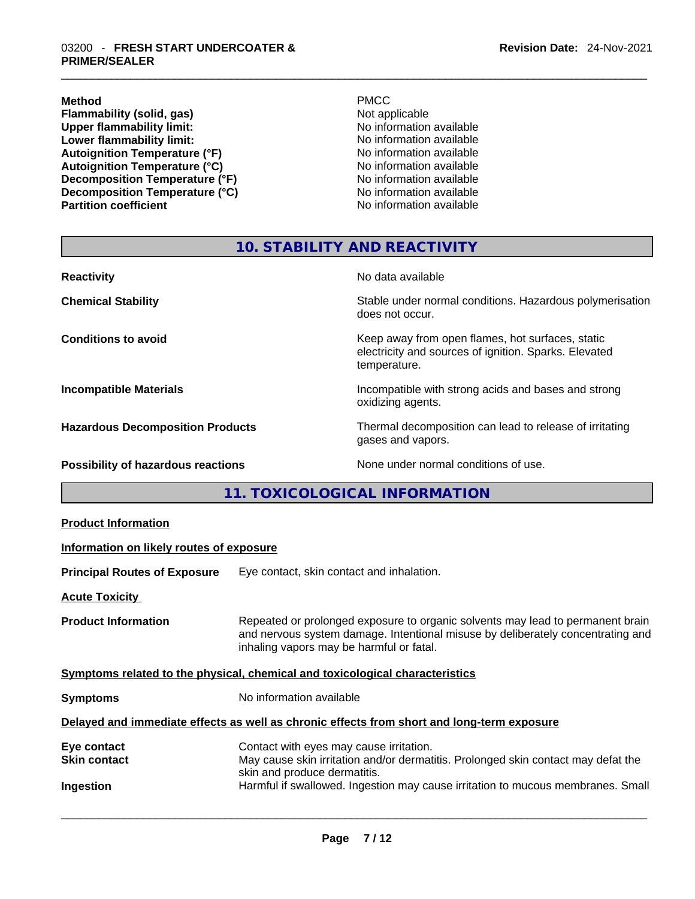**Flammability (solid, gas)**<br> **Commability limit:**<br>
Upper flammability limit:<br>  $\begin{array}{ccc}\n\bullet & \bullet & \bullet \\
\bullet & \bullet & \bullet\n\end{array}$  No information available Upper flammability limit:<br>
Lower flammability limit:<br>
Lower flammability limit:<br>
No information available **Lower flammability limit: Autoignition Temperature (°F)**<br> **Autoignition Temperature (°C)** No information available Autoignition Temperature (°C)<br>
Decomposition Temperature (°F)<br>
No information available **Decomposition Temperature (°F) Decomposition Temperature (°C)** No information available

**Method** PMCC

**No information available** 

## **10. STABILITY AND REACTIVITY**

| <b>Reactivity</b>                         | No data available                                                                                                         |
|-------------------------------------------|---------------------------------------------------------------------------------------------------------------------------|
| <b>Chemical Stability</b>                 | Stable under normal conditions. Hazardous polymerisation<br>does not occur.                                               |
| <b>Conditions to avoid</b>                | Keep away from open flames, hot surfaces, static<br>electricity and sources of ignition. Sparks. Elevated<br>temperature. |
| <b>Incompatible Materials</b>             | Incompatible with strong acids and bases and strong<br>oxidizing agents.                                                  |
| <b>Hazardous Decomposition Products</b>   | Thermal decomposition can lead to release of irritating<br>gases and vapors.                                              |
| <b>Possibility of hazardous reactions</b> | None under normal conditions of use.                                                                                      |

## **11. TOXICOLOGICAL INFORMATION**

| <b>Product Information</b>                      |                                                                                                                                                                                                                                                 |
|-------------------------------------------------|-------------------------------------------------------------------------------------------------------------------------------------------------------------------------------------------------------------------------------------------------|
| Information on likely routes of exposure        |                                                                                                                                                                                                                                                 |
| <b>Principal Routes of Exposure</b>             | Eye contact, skin contact and inhalation.                                                                                                                                                                                                       |
| <b>Acute Toxicity</b>                           |                                                                                                                                                                                                                                                 |
| <b>Product Information</b>                      | Repeated or prolonged exposure to organic solvents may lead to permanent brain<br>and nervous system damage. Intentional misuse by deliberately concentrating and<br>inhaling vapors may be harmful or fatal.                                   |
|                                                 | Symptoms related to the physical, chemical and toxicological characteristics                                                                                                                                                                    |
| <b>Symptoms</b>                                 | No information available                                                                                                                                                                                                                        |
|                                                 | Delayed and immediate effects as well as chronic effects from short and long-term exposure                                                                                                                                                      |
| Eye contact<br><b>Skin contact</b><br>Ingestion | Contact with eyes may cause irritation.<br>May cause skin irritation and/or dermatitis. Prolonged skin contact may defat the<br>skin and produce dermatitis.<br>Harmful if swallowed. Ingestion may cause irritation to mucous membranes. Small |
|                                                 |                                                                                                                                                                                                                                                 |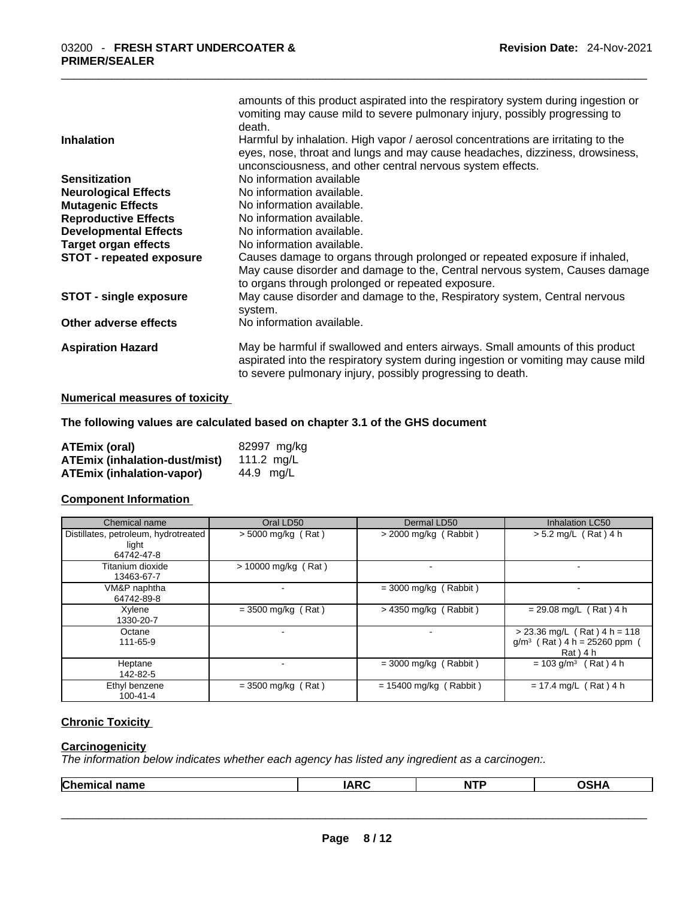|                                 | amounts of this product aspirated into the respiratory system during ingestion or<br>vomiting may cause mild to severe pulmonary injury, possibly progressing to<br>death.                                                       |
|---------------------------------|----------------------------------------------------------------------------------------------------------------------------------------------------------------------------------------------------------------------------------|
| <b>Inhalation</b>               | Harmful by inhalation. High vapor / aerosol concentrations are irritating to the<br>eyes, nose, throat and lungs and may cause headaches, dizziness, drowsiness,<br>unconsciousness, and other central nervous system effects.   |
| <b>Sensitization</b>            | No information available                                                                                                                                                                                                         |
| <b>Neurological Effects</b>     | No information available.                                                                                                                                                                                                        |
| <b>Mutagenic Effects</b>        | No information available.                                                                                                                                                                                                        |
| <b>Reproductive Effects</b>     | No information available.                                                                                                                                                                                                        |
| <b>Developmental Effects</b>    | No information available.                                                                                                                                                                                                        |
| <b>Target organ effects</b>     | No information available.                                                                                                                                                                                                        |
| <b>STOT - repeated exposure</b> | Causes damage to organs through prolonged or repeated exposure if inhaled,<br>May cause disorder and damage to the, Central nervous system, Causes damage<br>to organs through prolonged or repeated exposure.                   |
| <b>STOT - single exposure</b>   | May cause disorder and damage to the, Respiratory system, Central nervous<br>system.                                                                                                                                             |
| Other adverse effects           | No information available.                                                                                                                                                                                                        |
| <b>Aspiration Hazard</b>        | May be harmful if swallowed and enters airways. Small amounts of this product<br>aspirated into the respiratory system during ingestion or vomiting may cause mild<br>to severe pulmonary injury, possibly progressing to death. |

#### **Numerical measures of toxicity**

#### **The following values are calculated based on chapter 3.1 of the GHS document**

| ATEmix (oral)                        | 82997 mg/kg |
|--------------------------------------|-------------|
| <b>ATEmix (inhalation-dust/mist)</b> | 111.2 ma/L  |
| <b>ATEmix (inhalation-vapor)</b>     | 44.9 ma/L   |

#### **Component Information**

| Chemical name                                               | Oral LD50             | Dermal LD50                   | Inhalation LC50                                                              |
|-------------------------------------------------------------|-----------------------|-------------------------------|------------------------------------------------------------------------------|
| Distillates, petroleum, hydrotreated<br>light<br>64742-47-8 | $>$ 5000 mg/kg (Rat)  | $>$ 2000 mg/kg (Rabbit)       | $> 5.2$ mg/L (Rat) 4 h                                                       |
| Titanium dioxide<br>13463-67-7                              | $> 10000$ mg/kg (Rat) |                               |                                                                              |
| VM&P naphtha<br>64742-89-8                                  |                       | $=$ 3000 mg/kg (Rabbit)       |                                                                              |
| Xylene<br>1330-20-7                                         | $= 3500$ mg/kg (Rat)  | $>$ 4350 mg/kg (Rabbit)       | $= 29.08$ mg/L (Rat) 4 h                                                     |
| Octane<br>111-65-9                                          | -                     |                               | $> 23.36$ mg/L (Rat) 4 h = 118<br>$g/m^3$ (Rat) 4 h = 25260 ppm<br>Rat ) 4 h |
| Heptane<br>142-82-5                                         |                       | $=$ 3000 mg/kg (Rabbit)       | $= 103$ g/m <sup>3</sup> (Rat) 4 h                                           |
| Ethyl benzene<br>$100 - 41 - 4$                             | $= 3500$ mg/kg (Rat)  | (Rabbit)<br>$= 15400$ mg/kg ( | $= 17.4$ mg/L (Rat) 4 h                                                      |

## **Chronic Toxicity**

#### **Carcinogenicity**

*The information below indicates whether each agency has listed any ingredient as a carcinogen:.* 

| <b>Chemical name</b> | ADC           | . | .    |
|----------------------|---------------|---|------|
|                      | $\sim$ $\sim$ | N | ,,,, |
|                      |               |   |      |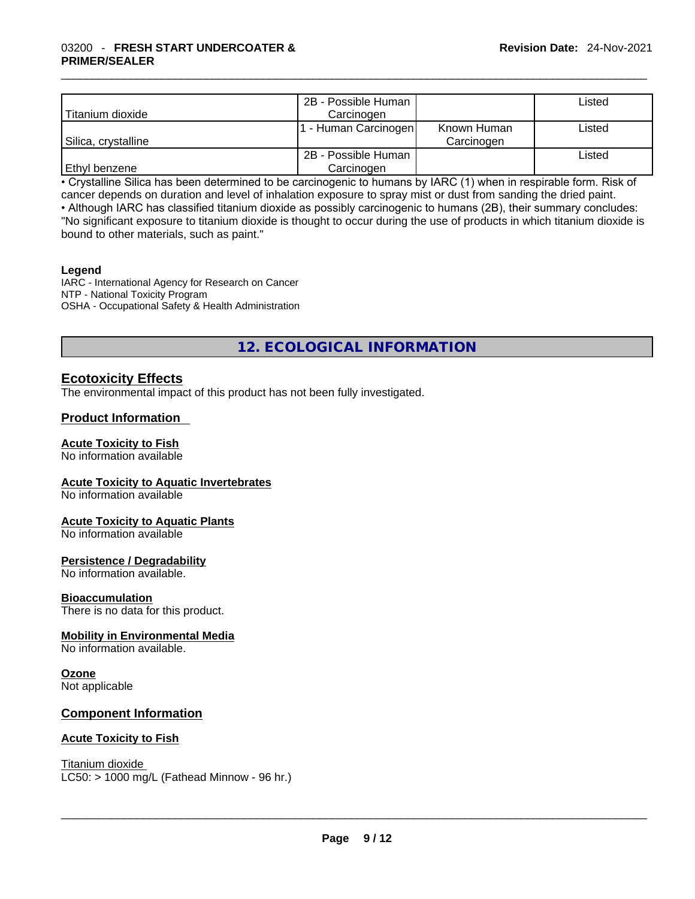|                     | 2B - Possible Human |             | Listed |
|---------------------|---------------------|-------------|--------|
| Titanium dioxide    | Carcinogen          |             |        |
|                     | F-Human Carcinogen  | Known Human | Listed |
| Silica, crystalline |                     | Carcinogen  |        |
|                     | 2B - Possible Human |             | Listed |
| Ethyl benzene       | Carcinogen          |             |        |

• Crystalline Silica has been determined to be carcinogenic to humans by IARC (1) when in respirable form. Risk of cancer depends on duration and level of inhalation exposure to spray mist or dust from sanding the dried paint.• Although IARC has classified titanium dioxide as possibly carcinogenic to humans (2B), their summary concludes: "No significant exposure to titanium dioxide is thought to occur during the use of products in which titanium dioxide is

bound to other materials, such as paint."

#### **Legend**

IARC - International Agency for Research on Cancer NTP - National Toxicity Program OSHA - Occupational Safety & Health Administration

## **12. ECOLOGICAL INFORMATION**

## **Ecotoxicity Effects**

The environmental impact of this product has not been fully investigated.

### **Product Information**

# **Acute Toxicity to Fish**

No information available

#### **Acute Toxicity to Aquatic Invertebrates**

No information available

#### **Acute Toxicity to Aquatic Plants**

No information available

#### **Persistence / Degradability**

No information available.

#### **Bioaccumulation**

There is no data for this product.

#### **Mobility in Environmental Media**

No information available.

## **Ozone**

Not applicable

#### **Component Information**

#### **Acute Toxicity to Fish**

Titanium dioxide  $LC50: > 1000$  mg/L (Fathead Minnow - 96 hr.)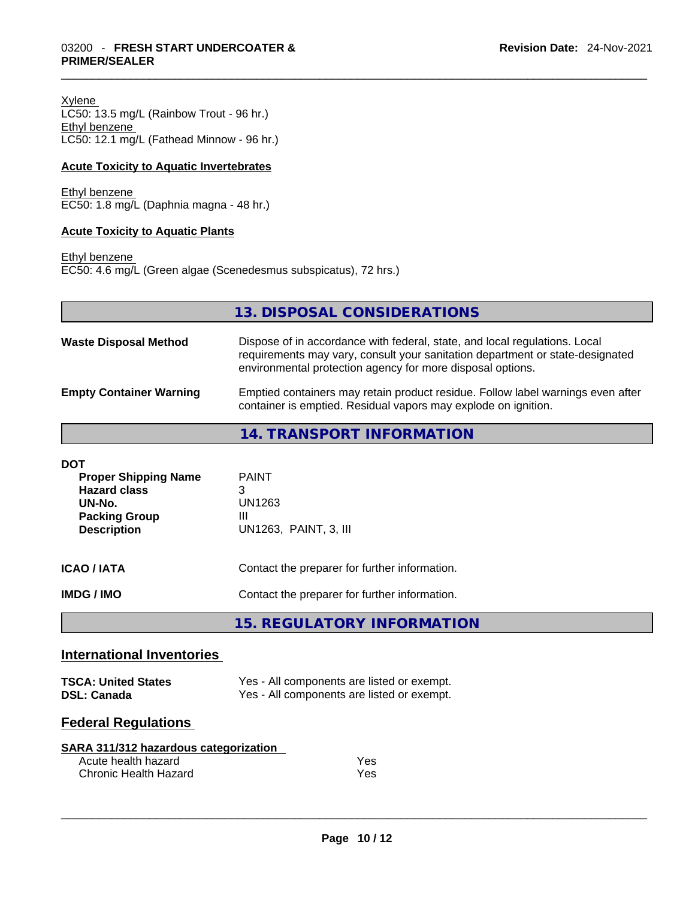Xylene LC50: 13.5 mg/L (Rainbow Trout - 96 hr.) Ethyl benzene LC50: 12.1 mg/L (Fathead Minnow - 96 hr.)

#### **Acute Toxicity to Aquatic Invertebrates**

Ethyl benzene EC50: 1.8 mg/L (Daphnia magna - 48 hr.)

#### **Acute Toxicity to Aquatic Plants**

Ethyl benzene EC50: 4.6 mg/L (Green algae (Scenedesmus subspicatus), 72 hrs.)

|                                                                                                                          | 13. DISPOSAL CONSIDERATIONS                                                                                                                                                                                               |
|--------------------------------------------------------------------------------------------------------------------------|---------------------------------------------------------------------------------------------------------------------------------------------------------------------------------------------------------------------------|
| <b>Waste Disposal Method</b>                                                                                             | Dispose of in accordance with federal, state, and local regulations. Local<br>requirements may vary, consult your sanitation department or state-designated<br>environmental protection agency for more disposal options. |
| <b>Empty Container Warning</b>                                                                                           | Emptied containers may retain product residue. Follow label warnings even after<br>container is emptied. Residual vapors may explode on ignition.                                                                         |
|                                                                                                                          | 14. TRANSPORT INFORMATION                                                                                                                                                                                                 |
| <b>DOT</b><br><b>Proper Shipping Name</b><br><b>Hazard class</b><br>UN-No.<br><b>Packing Group</b><br><b>Description</b> | <b>PAINT</b><br>3<br>UN1263<br>Ш<br>UN1263, PAINT, 3, III                                                                                                                                                                 |
| <b>ICAO/IATA</b>                                                                                                         | Contact the preparer for further information.                                                                                                                                                                             |

**IMDG / IMO Contact the preparer for further information.** 

**15. REGULATORY INFORMATION** 

### **International Inventories**

| <b>TSCA: United States</b> | Yes - All components are listed or exempt. |
|----------------------------|--------------------------------------------|
| <b>DSL: Canada</b>         | Yes - All components are listed or exempt. |

## **Federal Regulations**

| SARA 311/312 hazardous categorization |     |
|---------------------------------------|-----|
| Acute health hazard                   | Yes |
| Chronic Health Hazard                 | Yes |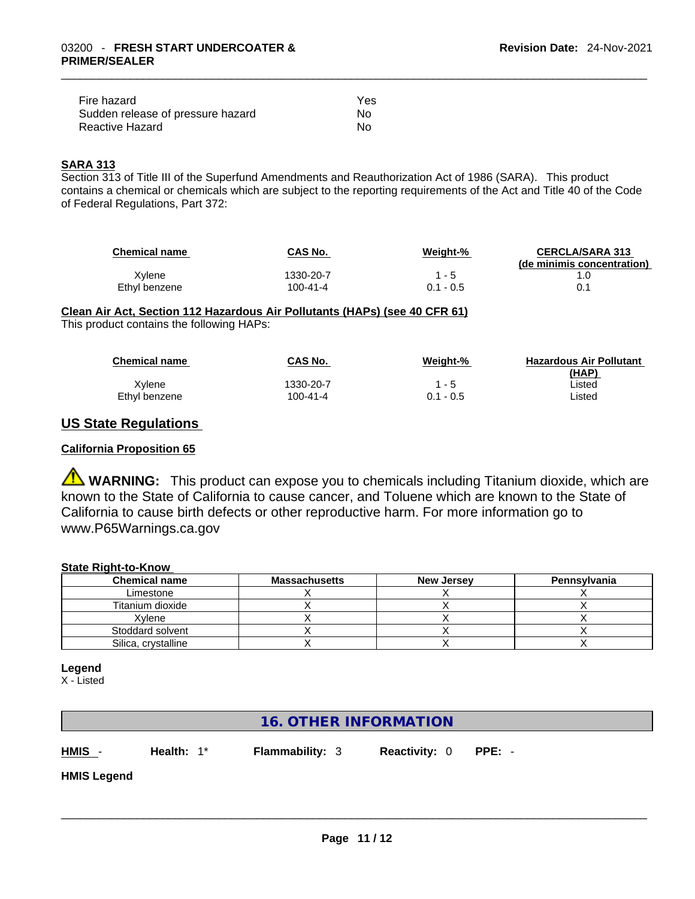| Fire hazard                       | Yes |  |
|-----------------------------------|-----|--|
| Sudden release of pressure hazard | Nο  |  |
| Reactive Hazard                   | No  |  |

#### **SARA 313**

Section 313 of Title III of the Superfund Amendments and Reauthorization Act of 1986 (SARA). This product contains a chemical or chemicals which are subject to the reporting requirements of the Act and Title 40 of the Code of Federal Regulations, Part 372:

| <b>Chemical name</b> | CAS No.        | Weight-%    | <b>CERCLA/SARA 313</b><br>(de minimis concentration) |
|----------------------|----------------|-------------|------------------------------------------------------|
| Xvlene               | 1330-20-7      | $1 - 5$     |                                                      |
| Ethyl benzene        | $100 - 41 - 4$ | $0.1 - 0.5$ | 0.1                                                  |

## **Clean Air Act,Section 112 Hazardous Air Pollutants (HAPs) (see 40 CFR 61)**

This product contains the following HAPs:

| <b>Chemical name</b> | <b>CAS No.</b> | Weiaht-%    | <b>Hazardous Air Pollutant</b> |
|----------------------|----------------|-------------|--------------------------------|
|                      |                |             | (HAP)                          |
| Xvlene               | 1330-20-7      | $-5$        | Listed                         |
| Ethyl benzene        | 100-41-4       | $0.1 - 0.5$ | Listed                         |

## **US State Regulations**

#### **California Proposition 65**

**WARNING:** This product can expose you to chemicals including Titanium dioxide, which are known to the State of California to cause cancer, and Toluene which are known to the State of California to cause birth defects or other reproductive harm. For more information go to www.P65Warnings.ca.gov

#### **State Right-to-Know**

| <b>Chemical name</b> | <b>Massachusetts</b> | <b>New Jersey</b> | Pennsylvania |
|----------------------|----------------------|-------------------|--------------|
| Limestone            |                      |                   |              |
| Titanium dioxide     |                      |                   |              |
| Xvlene               |                      |                   |              |
| Stoddard solvent     |                      |                   |              |
| Silica, crystalline  |                      |                   |              |

#### **Legend**

X - Listed

## **16. OTHER INFORMATION**

**HMIS** - **Health:** 1\* **Flammability:** 3 **Reactivity:** 0 **PPE:** -

**HMIS Legend**